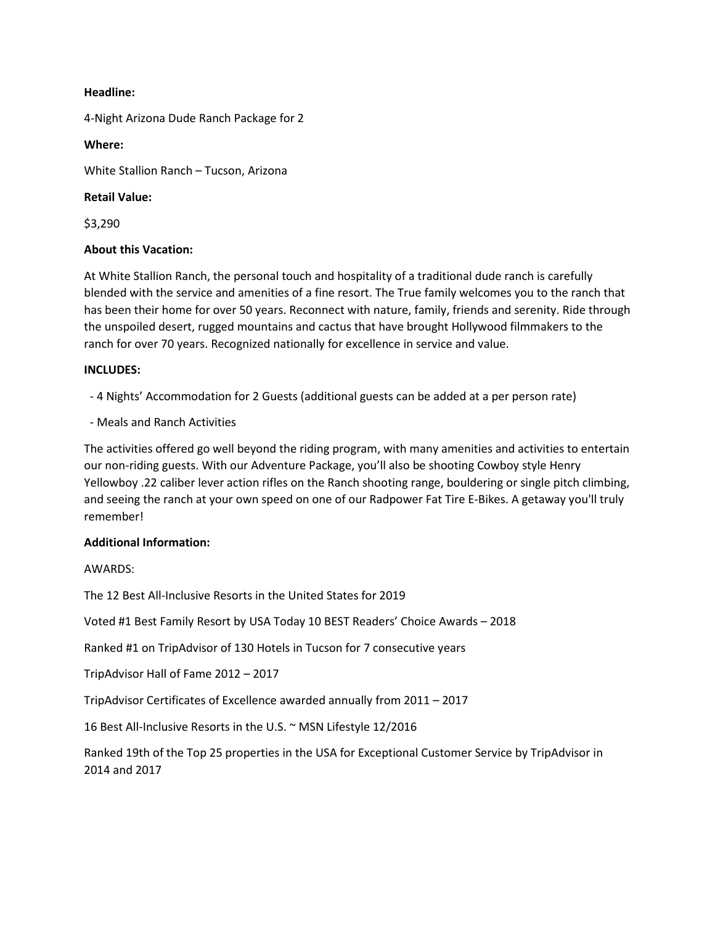# **Headline:**

4-Night Arizona Dude Ranch Package for 2

## **Where:**

White Stallion Ranch – Tucson, Arizona

## **Retail Value:**

\$3,290

# **About this Vacation:**

At White Stallion Ranch, the personal touch and hospitality of a traditional dude ranch is carefully blended with the service and amenities of a fine resort. The True family welcomes you to the ranch that has been their home for over 50 years. Reconnect with nature, family, friends and serenity. Ride through the unspoiled desert, rugged mountains and cactus that have brought Hollywood filmmakers to the ranch for over 70 years. Recognized nationally for excellence in service and value.

### **INCLUDES:**

- 4 Nights' Accommodation for 2 Guests (additional guests can be added at a per person rate)

- Meals and Ranch Activities

The activities offered go well beyond the riding program, with many amenities and activities to entertain our non-riding guests. With our Adventure Package, you'll also be shooting Cowboy style Henry Yellowboy .22 caliber lever action rifles on the Ranch shooting range, bouldering or single pitch climbing, and seeing the ranch at your own speed on one of our Radpower Fat Tire E-Bikes. A getaway you'll truly remember!

# **Additional Information:**

AWARDS:

The 12 Best All-Inclusive Resorts in the United States for 2019

Voted #1 Best Family Resort by USA Today 10 BEST Readers' Choice Awards – 2018

Ranked #1 on TripAdvisor of 130 Hotels in Tucson for 7 consecutive years

TripAdvisor Hall of Fame 2012 – 2017

TripAdvisor Certificates of Excellence awarded annually from 2011 – 2017

16 Best All-Inclusive Resorts in the U.S. ~ MSN Lifestyle 12/2016

Ranked 19th of the Top 25 properties in the USA for Exceptional Customer Service by TripAdvisor in 2014 and 2017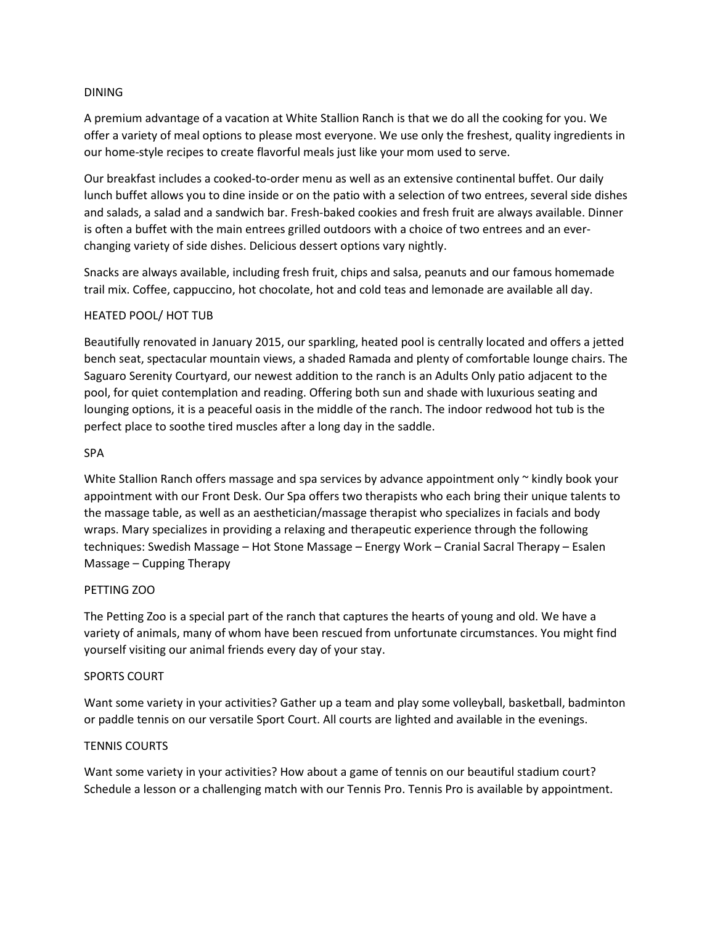## DINING

A premium advantage of a vacation at White Stallion Ranch is that we do all the cooking for you. We offer a variety of meal options to please most everyone. We use only the freshest, quality ingredients in our home-style recipes to create flavorful meals just like your mom used to serve.

Our breakfast includes a cooked-to-order menu as well as an extensive continental buffet. Our daily lunch buffet allows you to dine inside or on the patio with a selection of two entrees, several side dishes and salads, a salad and a sandwich bar. Fresh-baked cookies and fresh fruit are always available. Dinner is often a buffet with the main entrees grilled outdoors with a choice of two entrees and an everchanging variety of side dishes. Delicious dessert options vary nightly.

Snacks are always available, including fresh fruit, chips and salsa, peanuts and our famous homemade trail mix. Coffee, cappuccino, hot chocolate, hot and cold teas and lemonade are available all day.

### HEATED POOL/ HOT TUB

Beautifully renovated in January 2015, our sparkling, heated pool is centrally located and offers a jetted bench seat, spectacular mountain views, a shaded Ramada and plenty of comfortable lounge chairs. The Saguaro Serenity Courtyard, our newest addition to the ranch is an Adults Only patio adjacent to the pool, for quiet contemplation and reading. Offering both sun and shade with luxurious seating and lounging options, it is a peaceful oasis in the middle of the ranch. The indoor redwood hot tub is the perfect place to soothe tired muscles after a long day in the saddle.

#### SPA

White Stallion Ranch offers massage and spa services by advance appointment only ~ kindly book your appointment with our Front Desk. Our Spa offers two therapists who each bring their unique talents to the massage table, as well as an aesthetician/massage therapist who specializes in facials and body wraps. Mary specializes in providing a relaxing and therapeutic experience through the following techniques: Swedish Massage – Hot Stone Massage – Energy Work – Cranial Sacral Therapy – Esalen Massage – Cupping Therapy

#### PETTING ZOO

The Petting Zoo is a special part of the ranch that captures the hearts of young and old. We have a variety of animals, many of whom have been rescued from unfortunate circumstances. You might find yourself visiting our animal friends every day of your stay.

#### SPORTS COURT

Want some variety in your activities? Gather up a team and play some volleyball, basketball, badminton or paddle tennis on our versatile Sport Court. All courts are lighted and available in the evenings.

# TENNIS COURTS

Want some variety in your activities? How about a game of tennis on our beautiful stadium court? Schedule a lesson or a challenging match with our Tennis Pro. Tennis Pro is available by appointment.